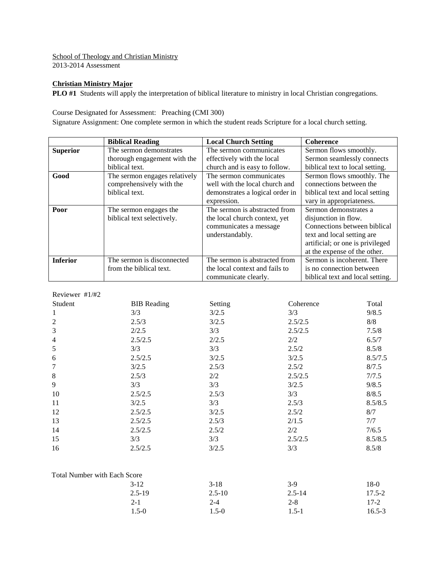#### School of Theology and Christian Ministry 2013-2014 Assessment

## **Christian Ministry Major**

**PLO #1** Students will apply the interpretation of biblical literature to ministry in local Christian congregations.

### Course Designated for Assessment: Preaching (CMI 300)

Signature Assignment: One complete sermon in which the student reads Scripture for a local church setting.

|                 | <b>Biblical Reading</b>       | <b>Local Church Setting</b>     | <b>Coherence</b>                 |
|-----------------|-------------------------------|---------------------------------|----------------------------------|
| <b>Superior</b> | The sermon demonstrates       | The sermon communicates         | Sermon flows smoothly.           |
|                 | thorough engagement with the  | effectively with the local      | Sermon seamlessly connects       |
|                 | biblical text.                | church and is easy to follow.   | biblical text to local setting.  |
| Good            | The sermon engages relatively | The sermon communicates         | Sermon flows smoothly. The       |
|                 | comprehensively with the      | well with the local church and  | connections between the          |
|                 | biblical text.                | demonstrates a logical order in | biblical text and local setting  |
|                 |                               | expression.                     | vary in appropriateness.         |
| Poor            | The sermon engages the        | The sermon is abstracted from   | Sermon demonstrates a            |
|                 | biblical text selectively.    | the local church context, yet   | disjunction in flow.             |
|                 |                               | communicates a message          | Connections between biblical     |
|                 |                               | understandably.                 | text and local setting are       |
|                 |                               |                                 | artificial; or one is privileged |
|                 |                               |                                 | at the expense of the other.     |
| <b>Inferior</b> | The sermon is disconnected    | The sermon is abstracted from   | Sermon is incoherent. There      |
|                 | from the biblical text.       | the local context and fails to  | is no connection between         |
|                 |                               | communicate clearly.            | biblical text and local setting. |

## Reviewer #1/#2

| Student                             | <b>BIB</b> Reading | Setting    | Coherence  | Total      |
|-------------------------------------|--------------------|------------|------------|------------|
| $\mathbf{1}$                        | 3/3                | 3/2.5      | 3/3        | 9/8.5      |
| $\sqrt{2}$                          | 2.5/3              | 3/2.5      | 2.5/2.5    | 8/8        |
| $\mathfrak{Z}$                      | 2/2.5              | 3/3        | 2.5/2.5    | 7.5/8      |
| $\overline{4}$                      | 2.5/2.5            | 2/2.5      | 2/2        | 6.5/7      |
| $\sqrt{5}$                          | 3/3                | 3/3        | 2.5/2      | 8.5/8      |
| 6                                   | 2.5/2.5            | 3/2.5      | 3/2.5      | 8.5/7.5    |
| $\boldsymbol{7}$                    | 3/2.5              | 2.5/3      | 2.5/2      | 8/7.5      |
| $\,$ 8 $\,$                         | 2.5/3              | 2/2        | 2.5/2.5    | 7/7.5      |
| 9                                   | 3/3                | 3/3        | 3/2.5      | 9/8.5      |
| 10                                  | 2.5/2.5            | 2.5/3      | 3/3        | 8/8.5      |
| 11                                  | 3/2.5              | 3/3        | 2.5/3      | 8.5/8.5    |
| 12                                  | 2.5/2.5            | 3/2.5      | 2.5/2      | 8/7        |
| 13                                  | 2.5/2.5            | 2.5/3      | 2/1.5      | 7/7        |
| 14                                  | 2.5/2.5            | 2.5/2      | 2/2        | 7/6.5      |
| 15                                  | 3/3                | 3/3        | 2.5/2.5    | 8.5/8.5    |
| 16                                  | 2.5/2.5            | 3/2.5      | 3/3        | 8.5/8      |
| <b>Total Number with Each Score</b> |                    |            |            |            |
|                                     | $3-12$             | $3-18$     | $3-9$      | $18-0$     |
|                                     | $2.5 - 19$         | $2.5 - 10$ | $2.5 - 14$ | $17.5 - 2$ |
|                                     | $2 - 1$            | $2 - 4$    | $2 - 8$    | $17-2$     |

1.5-0 1.5-0 1.5-1 16.5-3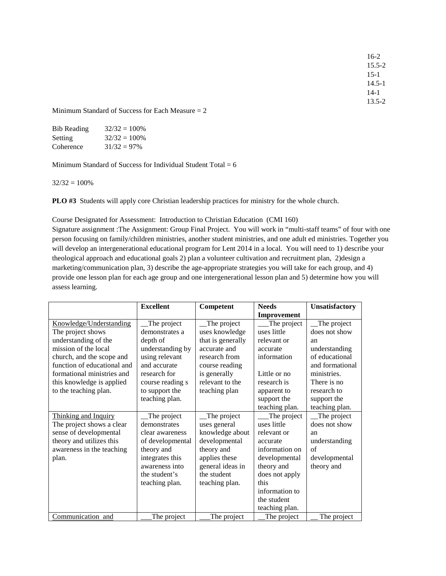16-2 15.5-2 15-1 14.5-1 14-1 13.5-2

Minimum Standard of Success for Each Measure = 2

| <b>Bib Reading</b> | $32/32 = 100\%$ |
|--------------------|-----------------|
| Setting            | $32/32 = 100\%$ |
| Coherence          | $31/32 = 97\%$  |

Minimum Standard of Success for Individual Student Total  $= 6$ 

 $32/32 = 100\%$ 

**PLO #3** Students will apply core Christian leadership practices for ministry for the whole church.

Course Designated for Assessment: Introduction to Christian Education (CMI 160)

Signature assignment :The Assignment: Group Final Project. You will work in "multi-staff teams" of four with one person focusing on family/children ministries, another student ministries, and one adult ed ministries. Together you will develop an intergenerational educational program for Lent 2014 in a local. You will need to 1) describe your theological approach and educational goals 2) plan a volunteer cultivation and recruitment plan, 2)design a marketing/communication plan, 3) describe the age-appropriate strategies you will take for each group, and 4) provide one lesson plan for each age group and one intergenerational lesson plan and 5) determine how you will assess learning.

|                             | <b>Excellent</b> | Competent         | <b>Needs</b>   | Unsatisfactory  |
|-----------------------------|------------------|-------------------|----------------|-----------------|
|                             |                  |                   | Improvement    |                 |
| Knowledge/Understanding     | The project      | The project       | The project    | The project     |
| The project shows           | demonstrates a   | uses knowledge    | uses little    | does not show   |
| understanding of the        | depth of         | that is generally | relevant or    | an              |
| mission of the local        | understanding by | accurate and      | accurate       | understanding   |
| church, and the scope and   | using relevant   | research from     | information    | of educational  |
| function of educational and | and accurate     | course reading    |                | and formational |
| formational ministries and  | research for     | is generally      | Little or no   | ministries.     |
| this knowledge is applied   | course reading s | relevant to the   | research is    | There is no     |
| to the teaching plan.       | to support the   | teaching plan     | apparent to    | research to     |
|                             | teaching plan.   |                   | support the    | support the     |
|                             |                  |                   | teaching plan. | teaching plan.  |
| Thinking and Inquiry        | The project      | The project       | The project    | The project     |
| The project shows a clear   | demonstrates     | uses general      | uses little    | does not show   |
| sense of developmental      | clear awareness  | knowledge about   | relevant or    | an              |
| theory and utilizes this    | of developmental | developmental     | accurate       | understanding   |
| awareness in the teaching   | theory and       | theory and        | information on | of              |
| plan.                       | integrates this  | applies these     | developmental  | developmental   |
|                             | awareness into   | general ideas in  | theory and     | theory and      |
|                             | the student's    | the student       | does not apply |                 |
|                             | teaching plan.   | teaching plan.    | this           |                 |
|                             |                  |                   | information to |                 |
|                             |                  |                   | the student    |                 |
|                             |                  |                   | teaching plan. |                 |
| Communication and           | The project      | The project       | The project    | The project     |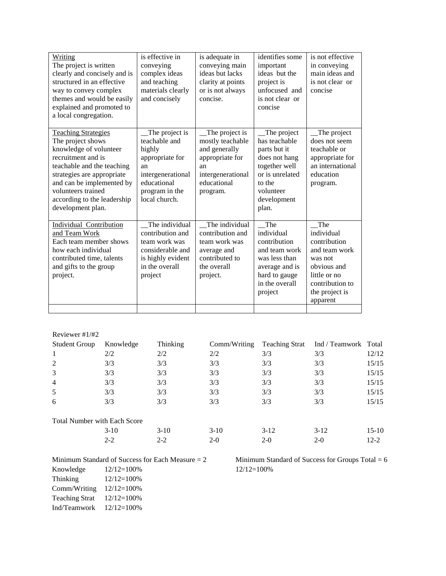| Writing<br>The project is written<br>clearly and concisely and is<br>structured in an effective<br>way to convey complex<br>themes and would be easily<br>explained and promoted to<br>a local congregation.                                                       | is effective in<br>conveying<br>complex ideas<br>and teaching<br>materials clearly<br>and concisely                                       | is adequate in<br>conveying main<br>ideas but lacks<br>clarity at points<br>or is not always<br>concise.                     | identifies some<br>important<br>ideas but the<br>project is<br>unfocused and<br>is not clear or<br>concise                                       | is not effective<br>in conveying<br>main ideas and<br>is not clear or<br>concise                                                              |
|--------------------------------------------------------------------------------------------------------------------------------------------------------------------------------------------------------------------------------------------------------------------|-------------------------------------------------------------------------------------------------------------------------------------------|------------------------------------------------------------------------------------------------------------------------------|--------------------------------------------------------------------------------------------------------------------------------------------------|-----------------------------------------------------------------------------------------------------------------------------------------------|
| <b>Teaching Strategies</b><br>The project shows<br>knowledge of volunteer<br>recruitment and is<br>teachable and the teaching<br>strategies are appropriate<br>and can be implemented by<br>volunteers trained<br>according to the leadership<br>development plan. | The project is<br>teachable and<br>highly<br>appropriate for<br>an<br>intergenerational<br>educational<br>program in the<br>local church. | The project is<br>mostly teachable<br>and generally<br>appropriate for<br>an<br>intergenerational<br>educational<br>program. | The project<br>has teachable<br>parts but it<br>does not hang<br>together well<br>or is unrelated<br>to the<br>volunteer<br>development<br>plan. | The project<br>does not seem<br>teachable or<br>appropriate for<br>an international<br>education<br>program.                                  |
| Individual Contribution<br>and Team Work<br>Each team member shows<br>how each individual<br>contributed time, talents<br>and gifts to the group<br>project.                                                                                                       | The individual<br>contribution and<br>team work was<br>considerable and<br>is highly evident<br>in the overall<br>project                 | The individual<br>contribution and<br>team work was<br>average and<br>contributed to<br>the overall<br>project.              | The<br>individual<br>contribution<br>and team work<br>was less than<br>average and is<br>hard to gauge<br>in the overall<br>project              | The<br>individual<br>contribution<br>and team work<br>was not<br>obvious and<br>little or no<br>contribution to<br>the project is<br>apparent |

| Reviewer $#1/H2$                    |           |          |              |                       |                      |          |
|-------------------------------------|-----------|----------|--------------|-----------------------|----------------------|----------|
| <b>Student Group</b>                | Knowledge | Thinking | Comm/Writing | <b>Teaching Strat</b> | Ind / Teamwork Total |          |
| 1                                   | 2/2       | 2/2      | 2/2          | 3/3                   | 3/3                  | 12/12    |
| 2                                   | 3/3       | 3/3      | 3/3          | 3/3                   | 3/3                  | 15/15    |
| 3                                   | 3/3       | 3/3      | 3/3          | 3/3                   | 3/3                  | 15/15    |
| $\overline{4}$                      | 3/3       | 3/3      | 3/3          | 3/3                   | 3/3                  | 15/15    |
| 5                                   | 3/3       | 3/3      | 3/3          | 3/3                   | 3/3                  | 15/15    |
| 6                                   | 3/3       | 3/3      | 3/3          | 3/3                   | 3/3                  | 15/15    |
| <b>Total Number with Each Score</b> |           |          |              |                       |                      |          |
|                                     | $3-10$    | $3-10$   | $3-10$       | $3-12$                | $3-12$               | $15-10$  |
|                                     | $2 - 2$   | $2 - 2$  | $2-0$        | $2-0$                 | $2-0$                | $12 - 2$ |
|                                     |           |          |              |                       |                      |          |

| Knowledge             | $12/12=100%$ |
|-----------------------|--------------|
| Thinking              | $12/12=100%$ |
| Comm/Writing          | 12/12=100%   |
| <b>Teaching Strat</b> | $12/12=100%$ |
| Ind/Teamwork          | $12/12=100%$ |

Minimum Standard of Success for Each Measure  $= 2$  Minimum Standard of Success for Groups Total  $= 6$ Knowledge 12/12=100% 12/12=100%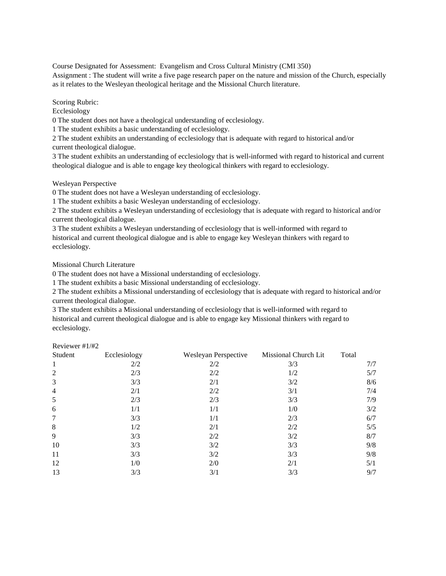Course Designated for Assessment: Evangelism and Cross Cultural Ministry (CMI 350) Assignment : The student will write a five page research paper on the nature and mission of the Church, especially as it relates to the Wesleyan theological heritage and the Missional Church literature.

Scoring Rubric:

Ecclesiology

0 The student does not have a theological understanding of ecclesiology.

1 The student exhibits a basic understanding of ecclesiology.

2 The student exhibits an understanding of ecclesiology that is adequate with regard to historical and/or current theological dialogue.

3 The student exhibits an understanding of ecclesiology that is well-informed with regard to historical and current theological dialogue and is able to engage key theological thinkers with regard to ecclesiology.

Wesleyan Perspective

0 The student does not have a Wesleyan understanding of ecclesiology.

1 The student exhibits a basic Wesleyan understanding of ecclesiology.

2 The student exhibits a Wesleyan understanding of ecclesiology that is adequate with regard to historical and/or current theological dialogue.

3 The student exhibits a Wesleyan understanding of ecclesiology that is well-informed with regard to historical and current theological dialogue and is able to engage key Wesleyan thinkers with regard to ecclesiology.

Missional Church Literature

 $D_{\text{exiayon}}$ #1/#2

0 The student does not have a Missional understanding of ecclesiology.

1 The student exhibits a basic Missional understanding of ecclesiology.

2 The student exhibits a Missional understanding of ecclesiology that is adequate with regard to historical and/or current theological dialogue.

3 The student exhibits a Missional understanding of ecclesiology that is well-informed with regard to historical and current theological dialogue and is able to engage key Missional thinkers with regard to ecclesiology.

| IN CVIC WOL $\pi$ $1/\pi$ $\angle$ |              |                      |                             |       |
|------------------------------------|--------------|----------------------|-----------------------------|-------|
| Student                            | Ecclesiology | Wesleyan Perspective | <b>Missional Church Lit</b> | Total |
| 1                                  | 2/2          | 2/2                  | 3/3                         | 7/7   |
| $\overline{2}$                     | 2/3          | 2/2                  | 1/2                         | 5/7   |
| 3                                  | 3/3          | 2/1                  | 3/2                         | 8/6   |
| $\overline{4}$                     | 2/1          | 2/2                  | 3/1                         | 7/4   |
| 5                                  | 2/3          | 2/3                  | 3/3                         | 7/9   |
| 6                                  | 1/1          | 1/1                  | 1/0                         | 3/2   |
| 7                                  | 3/3          | 1/1                  | 2/3                         | 6/7   |
| 8                                  | 1/2          | 2/1                  | 2/2                         | 5/5   |
| 9                                  | 3/3          | 2/2                  | 3/2                         | 8/7   |
| 10                                 | 3/3          | 3/2                  | 3/3                         | 9/8   |
| 11                                 | 3/3          | 3/2                  | 3/3                         | 9/8   |
| 12                                 | 1/0          | 2/0                  | 2/1                         | 5/1   |
| 13                                 | 3/3          | 3/1                  | 3/3                         | 9/7   |
|                                    |              |                      |                             |       |